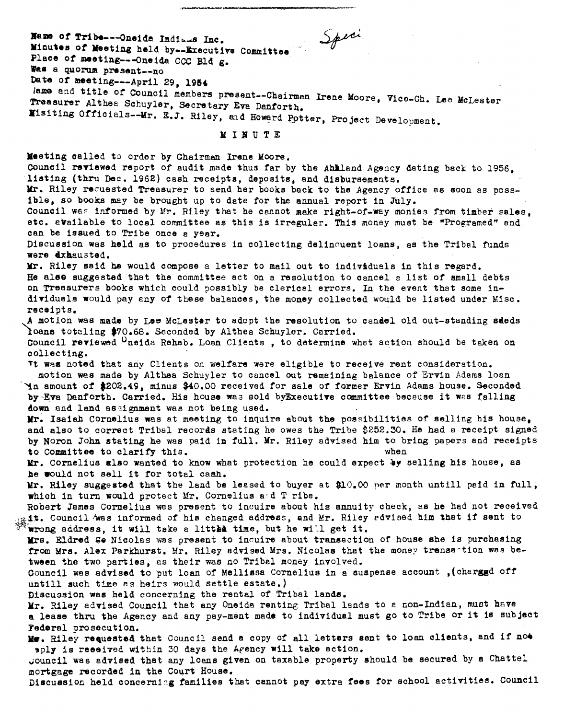Speci Name of Tribe---Oneida Indians Inc. Minutes of Meeting held by--Executive Committee Place of meeting---Oneida CCC Bld g. Was a quorum present--no Date of meeting---April 29, 1954 lame and title of Council members present--Chairman Irene Moore, Vice-Ch. Lee McLester Treasurer Althea Schuyler, Secretary Eva Danforth. Misiting Officials-Mr. E.J. Riley, and Howard Potter, Project Development. MINUTE Meeting called to order by Chairman Irene Moore. Council reviewed report of audit made thus far by the Ahlland Agency dating back to 1956. listing (thru Dec. 1962) cash receipts, deposits, and disbursements. Mr. Riley requested Treasurer to send her books back to the Agency office as soon as possible, so books may be brought up to date for the annual report in July. Council was informed by Mr. Riley that he cannot make right-of-way monies from timber sales. etc. available to local committee as this is irregular. This money must be "Programed" and can be issued to Tribe once a year. Discussion was held as to procedures in collecting delinquent loans, as the Tribal funds were dxhausted. Mr. Riley said he would compose a letter to mail out to individuals in this regard. He alse suggested that the committee act on a resolution to cancel a list of small debts on Treasurers books which could possibly be clericel errors. In the event that some individuals would pay any of these balances, the money collected would be listed under Misc. receipts. A motion was made by Lee McLester to adopt the resolution to candel old out-standing sdeds loans totaling \$70.68. Seconded by Althea Schuyler. Carried. Council reviewed <sup>O</sup>neida Rehab. Loan Clients, to determine what action should be taken on collecting. It was noted that any Clients on welfare were eligible to receive rent consideration. motion was made by Althea Schuyler to cancel out remaining balance of Ervin Adams loan Yn amount of \$202.49, minus \$40.00 received for sale of former Ervin Adams house. Seconded by Eva Danforth. Carried. His house was sold by Executive committee because it was falling down and land assignment was not being used. Mr. Isaiah Cornelius was at meeting to inquire about the possibilities of selling his house. and also to correct Tribal records stating he owes the Tribe \$252.30. He had a receipt signed by Noron John stating he was paid in full. Mr. Riley advised him to bring papers and receipts to Committee to clarify this. when Mr. Cornelius also wanted to know what protection he could expect by selling his house, as he would not sell it for total cash. Mr. Riley suggested that the land be leased to buyer at \$10.00 per month untill paid in full, which in turn would protect Mr. Cornelius and T ribe. Robert James Cornelius was present to incuire about his annuity check, as he had not received tt. Council was informed of his changed address, and Mr. Riley advised him that if sent to wrong address, it will take a littha time, but he will get it. Mrs. Eldred Ge Nicolas was present to inquire about transaction of house she is purchasing from Mrs. Alex Parkhurst. Mr. Riley advised Mrs. Nicolas that the money transantion was between the two parties, as their was no Tribal money involved. Council was advised to put loan of Mellissa Cornelius in a suspense account, (charggd off untill such time as heirs would settle estate.) Discussion was held concerning the rental of Tribal lands. Mr. Riley advised Council that any Oneida renting Tribal lands to a non-Indian, must have a lease thru the Agency and any pay-ment made to individual must go to Tribe or it is subject Federal prosecution. Me. Riley requested that Council send a copy of all letters sent to loan clients, and if not sply is received within 30 days the Agency will take action. Council was advised that any loans given on taxable property should be secured by a Chattel mortgage recorded in the Court House.

Discussion held concerning families that cannot pay extra fees for school activities. Council